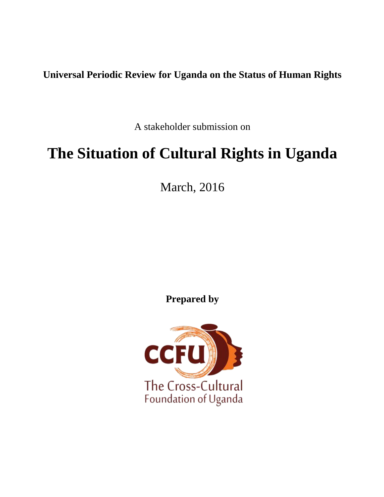# **Universal Periodic Review for Uganda on the Status of Human Rights**

A stakeholder submission on

# **The Situation of Cultural Rights in Uganda**

March, 2016

**Prepared by**

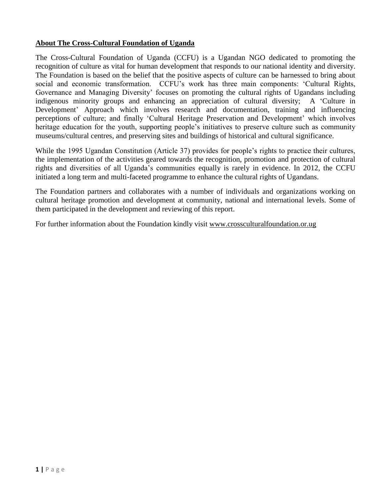## **About The Cross-Cultural Foundation of Uganda**

The Cross-Cultural Foundation of Uganda (CCFU) is a Ugandan NGO dedicated to promoting the recognition of culture as vital for human development that responds to our national identity and diversity. The Foundation is based on the belief that the positive aspects of culture can be harnessed to bring about social and economic transformation. CCFU's work has three main components: 'Cultural Rights, Governance and Managing Diversity' focuses on promoting the cultural rights of Ugandans including indigenous minority groups and enhancing an appreciation of cultural diversity; A 'Culture in Development' Approach which involves research and documentation, training and influencing perceptions of culture; and finally 'Cultural Heritage Preservation and Development' which involves heritage education for the youth, supporting people's initiatives to preserve culture such as community museums/cultural centres, and preserving sites and buildings of historical and cultural significance.

While the 1995 Ugandan Constitution (Article 37) provides for people's rights to practice their cultures, the implementation of the activities geared towards the recognition, promotion and protection of cultural rights and diversities of all Uganda's communities equally is rarely in evidence. In 2012, the CCFU initiated a long term and multi-faceted programme to enhance the cultural rights of Ugandans.

The Foundation partners and collaborates with a number of individuals and organizations working on cultural heritage promotion and development at community, national and international levels. Some of them participated in the development and reviewing of this report.

For further information about the Foundation kindly visit [www.crossculturalfoundation.or.ug](http://www.crossculturalfoundation.or.ug/)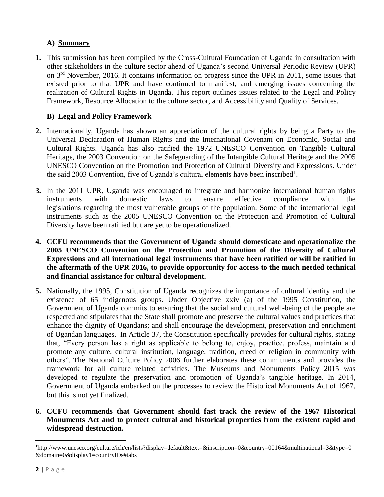# **A) Summary**

**1.** This submission has been compiled by the Cross-Cultural Foundation of Uganda in consultation with other stakeholders in the culture sector ahead of Uganda's second Universal Periodic Review (UPR) on 3rd November, 2016. It contains information on progress since the UPR in 2011, some issues that existed prior to that UPR and have continued to manifest, and emerging issues concerning the realization of Cultural Rights in Uganda. This report outlines issues related to the Legal and Policy Framework, Resource Allocation to the culture sector, and Accessibility and Quality of Services.

# **B) Legal and Policy Framework**

- **2.** Internationally, Uganda has shown an appreciation of the cultural rights by being a Party to the Universal Declaration of Human Rights and the International Covenant on Economic, Social and Cultural Rights. Uganda has also ratified the 1972 UNESCO Convention on Tangible Cultural Heritage, the 2003 Convention on the Safeguarding of the Intangible Cultural Heritage and the 2005 UNESCO Convention on the Promotion and Protection of Cultural Diversity and Expressions. Under the said 2003 Convention, five of Uganda's cultural elements have been inscribed<sup>1</sup>.
- **3.** In the 2011 UPR, Uganda was encouraged to integrate and harmonize international human rights instruments with domestic laws to ensure effective compliance with the legislations regarding the most vulnerable groups of the population. Some of the international legal instruments such as the 2005 UNESCO Convention on the Protection and Promotion of Cultural Diversity have been ratified but are yet to be operationalized.
- **4. CCFU recommends that the Government of Uganda should domesticate and operationalize the 2005 UNESCO Convention on the Protection and Promotion of the Diversity of Cultural Expressions and all international legal instruments that have been ratified or will be ratified in the aftermath of the UPR 2016, to provide opportunity for access to the much needed technical and financial assistance for cultural development.**
- **5.** Nationally, the 1995, Constitution of Uganda recognizes the importance of cultural identity and the existence of 65 indigenous groups. Under Objective xxiv (a) of the 1995 Constitution, the Government of Uganda commits to ensuring that the social and cultural well-being of the people are respected and stipulates that the State shall promote and preserve the cultural values and practices that enhance the dignity of Ugandans; and shall encourage the development, preservation and enrichment of Ugandan languages. In Article 37, the Constitution specifically provides for cultural rights, stating that, "Every person has a right as applicable to belong to, enjoy, practice, profess, maintain and promote any culture, cultural institution, language, tradition, creed or religion in community with others". The National Culture Policy 2006 further elaborates these commitments and provides the framework for all culture related activities. The Museums and Monuments Policy 2015 was developed to regulate the preservation and promotion of Uganda's tangible heritage. In 2014, Government of Uganda embarked on the processes to review the Historical Monuments Act of 1967, but this is not yet finalized.
- **6. CCFU recommends that Government should fast track the review of the 1967 Historical Monuments Act and to protect cultural and historical properties from the existent rapid and widespread destruction.**

l

<sup>1</sup>http://www.unesco.org/culture/ich/en/lists?display=default&text=&inscription=0&country=00164&multinational=3&type=0 &domain=0&display1=countryIDs#tabs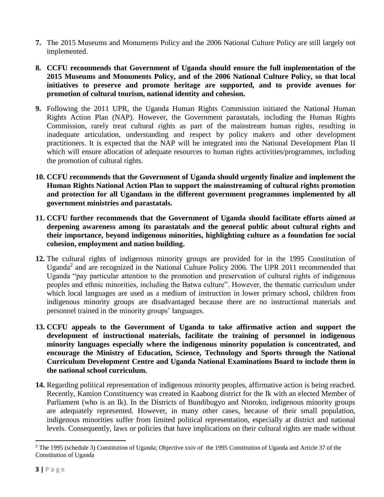- **7.** The 2015 Museums and Monuments Policy and the 2006 National Culture Policy are still largely not implemented.
- **8. CCFU recommends that Government of Uganda should ensure the full implementation of the 2015 Museums and Monuments Policy, and of the 2006 National Culture Policy, so that local initiatives to preserve and promote heritage are supported, and to provide avenues for promotion of cultural tourism, national identity and cohesion.**
- **9.** Following the 2011 UPR, the Uganda Human Rights Commission initiated the National Human Rights Action Plan (NAP). However, the Government parastatals, including the Human Rights Commission, rarely treat cultural rights as part of the mainstream human rights, resulting in inadequate articulation, understanding and respect by policy makers and other development practitioners. It is expected that the NAP will be integrated into the National Development Plan II which will ensure allocation of adequate resources to human rights activities/programmes, including the promotion of cultural rights.
- **10. CCFU recommends that the Government of Uganda should urgently finalize and implement the Human Rights National Action Plan to support the mainstreaming of cultural rights promotion and protection for all Ugandans in the different government programmes implemented by all government ministries and parastatals.**
- **11. CCFU further recommends that the Government of Uganda should facilitate efforts aimed at deepening awareness among its parastatals and the general public about cultural rights and their importance, beyond indigenous minorities, highlighting culture as a foundation for social cohesion, employment and nation building.**
- **12.** The cultural rights of indigenous minority groups are provided for in the 1995 Constitution of Uganda<sup>2</sup> and are recognized in the National Culture Policy 2006. The UPR 2011 recommended that Uganda "pay particular attention to the promotion and preservation of cultural rights of indigenous peoples and ethnic minorities, including the Batwa culture". However, the thematic curriculum under which local languages are used as a medium of instruction in lower primary school, children from indigenous minority groups are disadvantaged because there are no instructional materials and personnel trained in the minority groups' languages.
- **13. CCFU appeals to the Government of Uganda to take affirmative action and support the development of instructional materials, facilitate the training of personnel in indigenous minority languages especially where the indigenous minority population is concentrated, and encourage the Ministry of Education, Science, Technology and Sports through the National Curriculum Development Centre and Uganda National Examinations Board to include them in the national school curriculum.**
- **14.** Regarding political representation of indigenous minority peoples, affirmative action is being reached. Recently, Kamion Constituency was created in Kaabong district for the Ik with an elected Member of Parliament (who is an Ik). In the Districts of Bundibugyo and Ntoroko, indigenous minority groups are adequately represented. However, in many other cases, because of their small population, indigenous minorities suffer from limited political representation, especially at district and national levels. Consequently, laws or policies that have implications on their cultural rights are made without

l

<sup>&</sup>lt;sup>2</sup> The 1995 (schedule 3) Constitution of Uganda; Objective xxiv of the 1995 Constitution of Uganda and Article 37 of the Constitution of Uganda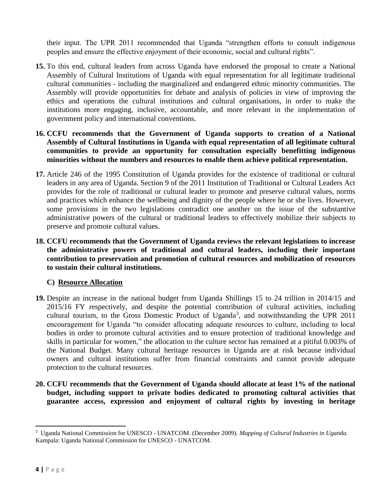their input. The UPR 2011 recommended that Uganda "strengthen efforts to consult indigenous peoples and ensure the effective enjoyment of their economic, social and cultural rights".

- **15.** To this end, cultural leaders from across Uganda have endorsed the proposal to create a National Assembly of Cultural Institutions of Uganda with equal representation for all legitimate traditional cultural communities - including the marginalized and endangered ethnic minority communities. The Assembly will provide opportunities for debate and analysis of policies in view of improving the ethics and operations the cultural institutions and cultural organisations, in order to make the institutions more engaging, inclusive, accountable, and more relevant in the implementation of government policy and international conventions.
- **16. CCFU recommends that the Government of Uganda supports to creation of a National Assembly of Cultural Institutions in Uganda with equal representation of all legitimate cultural communities to provide an opportunity for consultation especially benefitting indigenous minorities without the numbers and resources to enable them achieve political representation.**
- **17.** Article 246 of the 1995 Constitution of Uganda provides for the existence of traditional or cultural leaders in any area of Uganda. Section 9 of the 2011 Institution of Traditional or Cultural Leaders Act provides for the role of traditional or cultural leader to promote and preserve cultural values, norms and practices which enhance the wellbeing and dignity of the people where he or she lives. However, some provisions in the two legislations contradict one another on the issue of the substantive administrative powers of the cultural or traditional leaders to effectively mobilize their subjects to preserve and promote cultural values.
- **18. CCFU recommends that the Government of Uganda reviews the relevant legislations to increase the administrative powers of traditional and cultural leaders, including their important contribution to preservation and promotion of cultural resources and mobilization of resources to sustain their cultural institutions.**

## **C) Resource Allocation**

- **19.** Despite an increase in the national budget from Uganda Shillings 15 to 24 trillion in 2014/15 and 2015/16 FY respectively, and despite the potential contribution of cultural activities, including cultural tourism, to the Gross Domestic Product of Uganda<sup>3</sup>, and notwithstanding the UPR 2011 encouragement for Uganda "to consider allocating adequate resources to culture, including to local bodies in order to promote cultural activities and to ensure protection of traditional knowledge and skills in particular for women," the allocation to the culture sector has remained at a pitiful 0.003% of the National Budget. Many cultural heritage resources in Uganda are at risk because individual owners and cultural institutions suffer from financial constraints and cannot provide adequate protection to the cultural resources.
- **20. CCFU recommends that the Government of Uganda should allocate at least 1% of the national budget, including support to private bodies dedicated to promoting cultural activities that guarantee access, expression and enjoyment of cultural rights by investing in heritage**

l

<sup>3</sup> Uganda National Commission for UNESCO - UNATCOM. (December 2009). *Mapping of Cultural Industries in Uganda.* Kampala: Uganda National Commission for UNESCO - UNATCOM.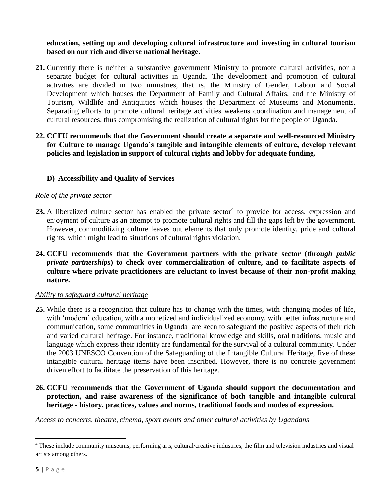**education, setting up and developing cultural infrastructure and investing in cultural tourism based on our rich and diverse national heritage.**

- **21.** Currently there is neither a substantive government Ministry to promote cultural activities, nor a separate budget for cultural activities in Uganda. The development and promotion of cultural activities are divided in two ministries, that is, the Ministry of Gender, Labour and Social Development which houses the Department of Family and Cultural Affairs, and the Ministry of Tourism, Wildlife and Antiquities which houses the Department of Museums and Monuments. Separating efforts to promote cultural heritage activities weakens coordination and management of cultural resources, thus compromising the realization of cultural rights for the people of Uganda.
- **22. CCFU recommends that the Government should create a separate and well-resourced Ministry for Culture to manage Uganda's tangible and intangible elements of culture, develop relevant policies and legislation in support of cultural rights and lobby for adequate funding.**

## **D) Accessibility and Quality of Services**

#### *Role of the private sector*

- **23.** A liberalized culture sector has enabled the private sector<sup>4</sup> to provide for access, expression and enjoyment of culture as an attempt to promote cultural rights and fill the gaps left by the government. However, commoditizing culture leaves out elements that only promote identity, pride and cultural rights, which might lead to situations of cultural rights violation.
- **24. CCFU recommends that the Government partners with the private sector (***through public private partnerships***) to check over commercialization of culture, and to facilitate aspects of culture where private practitioners are reluctant to invest because of their non-profit making nature.**

#### *Ability to safeguard cultural heritage*

- **25.** While there is a recognition that culture has to change with the times, with changing modes of life, with 'modern' education, with a monetized and individualized economy, with better infrastructure and communication, some communities in Uganda are keen to safeguard the positive aspects of their rich and varied cultural heritage. For instance, traditional knowledge and skills, oral traditions, music and language which express their identity are fundamental for the survival of a cultural community. Under the 2003 UNESCO Convention of the Safeguarding of the Intangible Cultural Heritage, five of these intangible cultural heritage items have been inscribed. However, there is no concrete government driven effort to facilitate the preservation of this heritage.
- **26. CCFU recommends that the Government of Uganda should support the documentation and protection, and raise awareness of the significance of both tangible and intangible cultural heritage - history, practices, values and norms, traditional foods and modes of expression.**

## *Access to concerts, theatre, cinema, sport events and other cultural activities by Ugandans*

 $\overline{a}$ <sup>4</sup> These include community museums, performing arts, cultural/creative industries, the film and television industries and visual artists among others.